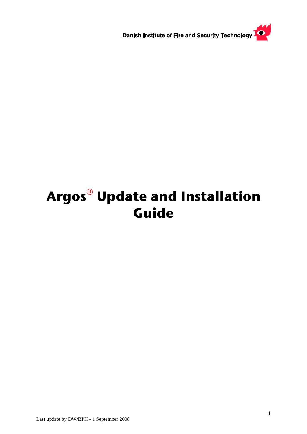$\bullet$ Danish Institute of Fire and Security Technology

# **Argos**® **Update and Installation Guide**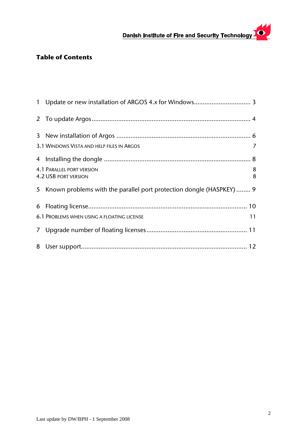### $\overline{\mathbf{O}}$  . Danish Institute of Fire and Security Technology

# **Table of Contents**

| 3.1 WINDOWS VISTA AND HELP FILES IN ARGOS                              | 7      |
|------------------------------------------------------------------------|--------|
|                                                                        |        |
| <b>4.1 PARALLEL PORT VERSION</b><br><b>4.2 USB PORT VERSION</b>        | 8<br>8 |
| 5 Known problems with the parallel port protection dongle (HASPKEY)  9 |        |
|                                                                        |        |
| 6.1 PROBLEMS WHEN USING A FLOATING LICENSE                             | 11     |
|                                                                        |        |
|                                                                        |        |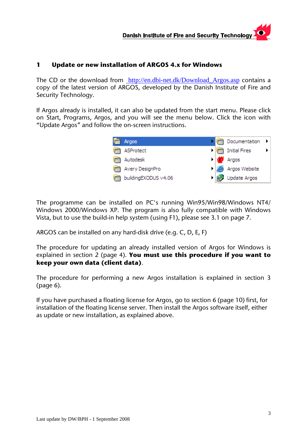### <span id="page-2-0"></span>**1 Update or new installation of ARGOS 4.x for Windows**

The CD or the download from [http://en.dbi-net.dk/Download\\_Argos.asp](http://en.dbi-net.dk/Download_Argos.asp) contains a copy of the latest version of ARGOS, developed by the Danish Institute of Fire and Security Technology.

If Argos already is installed, it can also be updated from the start menu. Please click on Start, Programs, Argos, and you will see the menu below. Click the icon with "Update Argos" and follow the on-screen instructions.



The programme can be installed on PC's running Win95/Win98/Windows NT4/ Windows 2000/Windows XP. The program is also fully compatible with Windows Vista, but to use the build-in help system (using F1), please see [3.1](#page-6-1) on page [7.](#page-6-1)

ARGOS can be installed on any hard-disk drive (e.g. C, D, E, F)

The procedure for updating an already installed version of Argos for Windows is explained in section 2 (page [4](#page-3-1)). **You must use this procedure if you want to keep your own data (client data)**.

The procedure for performing a new Argos installation is explained in section 3 (page [6\)](#page-5-1).

If you have purchased a floating license for Argos, go to section 6 (page [10](#page-9-1)) first, for installation of the floating license server. Then install the Argos software itself, either as update or new installation, as explained above.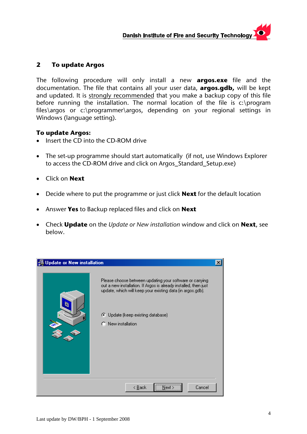### <span id="page-3-1"></span><span id="page-3-0"></span>**2 To update Argos**

The following procedure will only install a new **argos.exe** file and the documentation. The file that contains all your user data, **argos.gdb,** will be kept and updated. It is strongly recommended that you make a backup copy of this file before running the installation. The normal location of the file is c:\program files\argos or c:\programmer\argos, depending on your regional settings in Windows (language setting).

### **To update Argos:**

- Insert the CD into the CD-ROM drive
- The set-up programme should start automatically (if not, use Windows Explorer to access the CD-ROM drive and click on Argos\_Standard\_Setup.exe)
- Click on **Next**
- Decide where to put the programme or just click **Next** for the default location
- Answer **Yes** to Backup replaced files and click on **Next**
- Check **Update** on the *Update or New installation* window and click on **Next**, see below.

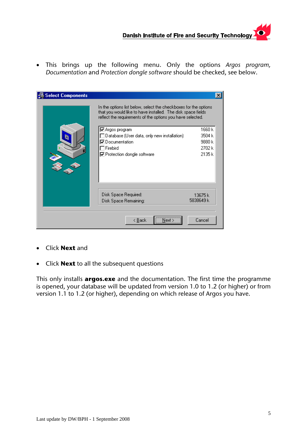• This brings up the following menu. Only the options *Argos program, Documentation* and *Protection dongle software* should be checked, see below.

| Select Components | In the options list below, select the checkboxes for the options<br>that you would like to have installed. The disk space fields<br>reflect the requirements of the options you have selected. |                                                |
|-------------------|------------------------------------------------------------------------------------------------------------------------------------------------------------------------------------------------|------------------------------------------------|
|                   | <b>☑</b> Argos program<br>Database (User data, only new installation)<br>$\overline{\mathsf{v}}$ Documentation .<br>Firebird<br>☑ Protection dongle software                                   | 1660 k<br>3504 k<br>9880 k<br>2702 k<br>2135 k |
|                   | Disk Space Required:<br>Disk Space Remaining:                                                                                                                                                  | 13675 k<br>5838649 k                           |
|                   | __________<br>Next ><br>< <u>B</u> ack                                                                                                                                                         | Cancel                                         |

- Click **Next** and
- Click **Next** to all the subsequent questions

This only installs **argos.exe** and the documentation. The first time the programme is opened, your database will be updated from version 1.0 to 1.2 (or higher) or from version 1.1 to 1.2 (or higher), depending on which release of Argos you have.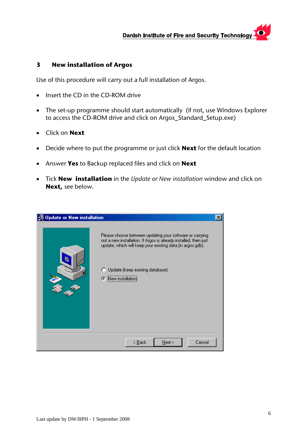### <span id="page-5-1"></span><span id="page-5-0"></span>**3 New installation of Argos**

Use of this procedure will carry out a full installation of Argos.

- Insert the CD in the CD-ROM drive
- The set-up programme should start automatically (if not, use Windows Explorer to access the CD-ROM drive and click on Argos\_Standard\_Setup.exe)
- Click on **Next**
- Decide where to put the programme or just click **Next** for the default location
- Answer **Yes** to Backup replaced files and click on **Next**
- Tick **New installation** in the *Update or New installation* window and click on **Next,** see below.

| 월 Update or New installation |                                                                                                                                                                                                                                                     | × |
|------------------------------|-----------------------------------------------------------------------------------------------------------------------------------------------------------------------------------------------------------------------------------------------------|---|
|                              | Please choose between updating your software or carrying<br>out a new installation. If Argos is already installed, then just<br>update, which will keep your existing data (in argos.gdb).<br>Update (keep existing database)<br>⊙ New installation |   |
|                              | $N$ ext ><br>< <u>B</u> ack<br>Cancel                                                                                                                                                                                                               |   |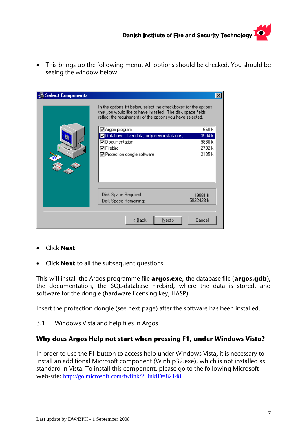<span id="page-6-0"></span>• This brings up the following menu. All options should be checked. You should be seeing the window below.

| <b>Select Components</b> |                                                                                                                                                                                                | $\boldsymbol{\mathsf{x}}$ |
|--------------------------|------------------------------------------------------------------------------------------------------------------------------------------------------------------------------------------------|---------------------------|
|                          | In the options list below, select the checkboxes for the options<br>that you would like to have installed. The disk space fields<br>reflect the requirements of the options you have selected. |                           |
|                          | $\nabla$ Argos program                                                                                                                                                                         | 1660 k                    |
|                          | Database (User data, only new installation)                                                                                                                                                    | 3504 k                    |
|                          | $\overline{\color{blue}\blacktriangledown}$ Documentation                                                                                                                                      | 9880 k                    |
|                          | <b>⊽</b> Firebird                                                                                                                                                                              | 2702 k                    |
|                          | ☑ Protection dongle software                                                                                                                                                                   | 2135 k                    |
|                          |                                                                                                                                                                                                |                           |
|                          | Disk Space Required:                                                                                                                                                                           | 19881 k                   |
|                          | Disk Space Remaining:                                                                                                                                                                          | 5832423 k                 |
|                          | $\leq$ $\underline{\mathsf{Back}}$<br>$N$ ext >                                                                                                                                                | Cancel                    |

- Click **Next**
- Click **Next** to all the subsequent questions

This will install the Argos programme file **argos.exe**, the database file (**argos.gdb**), the documentation, the SQL-database Firebird, where the data is stored, and software for the dongle (hardware licensing key, HASP).

Insert the protection dongle (see next page) after the software has been installed.

<span id="page-6-1"></span>3.1 Windows Vista and help files in Argos

# **Why does Argos Help not start when pressing F1, under Windows Vista?**

In order to use the F1 button to access help under Windows Vista, it is necessary to install an additional Microsoft component (Winhlp32.exe), which is not installed as standard in Vista. To install this component, please go to the following Microsoft web-site: <http://go.microsoft.com/fwlink/?LinkID=82148>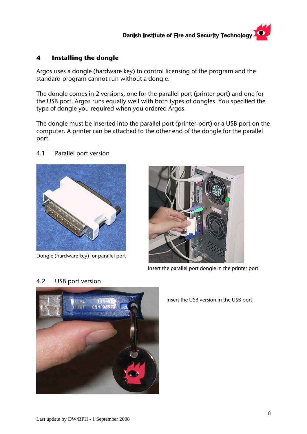### <span id="page-7-1"></span><span id="page-7-0"></span>**4 Installing the dongle**

Argos uses a dongle (hardware key) to control licensing of the program and the standard program cannot run without a dongle.

The dongle comes in 2 versions, one for the parallel port (printer port) and one for the USB port. Argos runs equally well with both types of dongles. You specified the type of dongle you required when you ordered Argos.

The dongle must be inserted into the parallel port (printer-port) or a USB port on the computer. A printer can be attached to the other end of the dongle for the parallel port.

4.1 Parallel port version

Dongle (hardware key) for parallel port



Insert the parallel port dongle in the printer port

# 4.2 USB port version



Insert the USB version in the USB port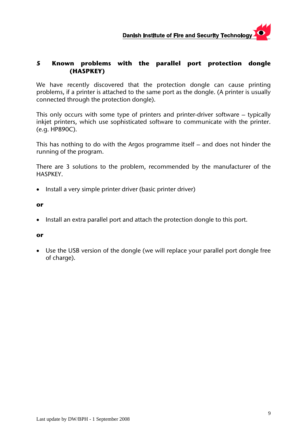### <span id="page-8-0"></span>**5 Known problems with the parallel port protection dongle (HASPKEY)**

We have recently discovered that the protection dongle can cause printing problems, if a printer is attached to the same port as the dongle. (A printer is usually connected through the protection dongle).

This only occurs with some type of printers and printer-driver software – typically inkjet printers, which use sophisticated software to communicate with the printer. (e.g. HP890C).

This has nothing to do with the Argos programme itself – and does not hinder the running of the program.

There are 3 solutions to the problem, recommended by the manufacturer of the HASPKEY.

• Install a very simple printer driver (basic printer driver)

### **or**

• Install an extra parallel port and attach the protection dongle to this port.

### **or**

• Use the USB version of the dongle (we will replace your parallel port dongle free of charge).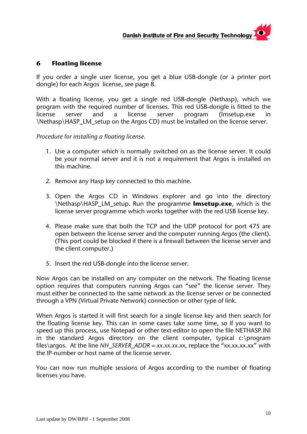### <span id="page-9-1"></span><span id="page-9-0"></span>**6 Floating license**

If you order a single user license, you get a blue USB-dongle (or a printer port dongle) for each Argos license, see page [8.](#page-7-1)

With a floating license, you get a single red USB-dongle (Nethasp), which we program with the required number of licenses. This red USB-dongle is fitted to the license server and a license server program (lmsetup.exe in \Nethasp\HASP\_LM\_setup on the Argos CD) must be installed on the license server.

*Procedure for installing a floating license.* 

- 1. Use a computer which is normally switched on as the license server. It could be your normal server and it is not a requirement that Argos is installed on this machine.
- 2. Remove any Hasp key connected to this machine.
- 3. Open the Argos CD in Windows explorer and go into the directory \Nethasp\HASP\_LM\_setup. Run the programme **lmsetup.exe**, which is the license server programme which works together with the red USB license key.
- 4. Please make sure that both the TCP and the UDP protocol for port 475 are open between the license server and the computer running Argos (the client). (This port could be blocked if there is a firewall between the license server and the client computer.)
- 5. Insert the red USB-dongle into the license server.

Now Argos can be installed on any computer on the network. The floating license option requires that computers running Argos can "see" the license server. They must either be connected to the same network as the license server or be connected through a VPN (Virtual Private Network) connection or other type of link.

When Argos is started it will first search for a single license key and then search for the floating license key. This can in some cases take some time, so if you want to speed up this process, use Notepad or other text-editor to open the file NETHASP.INI in the standard Argos directory on the client computer, typical c:\program files\argos. At the line *NH\_SERVER\_ADDR = xx.xx.xx.xx,* replace the "xx.xx.xx.xx" with the IP-number or host name of the license server.

You can now run multiple sessions of Argos according to the number of floating licenses you have.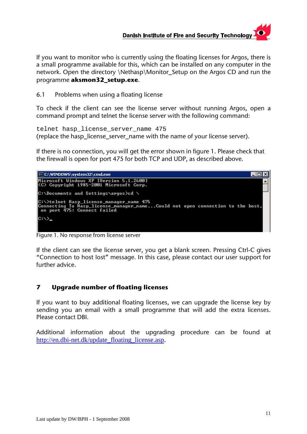# **Danish Institute of Fire and Security Technology**

<span id="page-10-0"></span>If you want to monitor who is currently using the floating licenses for Argos, there is a small programme available for this, which can be installed on any computer in the network. Open the directory \Nethasp\Monitor\_Setup on the Argos CD and run the programme **aksmon32\_setup.exe**.

6.1 Problems when using a floating license

To check if the client can see the license server without running Argos, open a command prompt and telnet the license server with the following command:

telnet hasp\_license\_server\_name 475 (replace the hasp\_license\_server\_name with the name of your license server).

If there is no connection, you will get the error shown in figure 1. Please check that the firewall is open for port 475 for both TCP and UDP, as described above.



Figure 1. No response from license server

If the client can see the license server, you get a blank screen. Pressing Ctrl-C gives "Connection to host lost" message. In this case, please contact our user support for further advice.

### **7 Upgrade number of floating licenses**

If you want to buy additional floating licenses, we can upgrade the license key by sending you an email with a small programme that will add the extra licenses. Please contact DBI.

Additional information about the upgrading procedure can be found at [http://en.dbi-net.dk/update\\_floating\\_license.asp](http://en.dbi-net.dk/update_floating_license.asp).